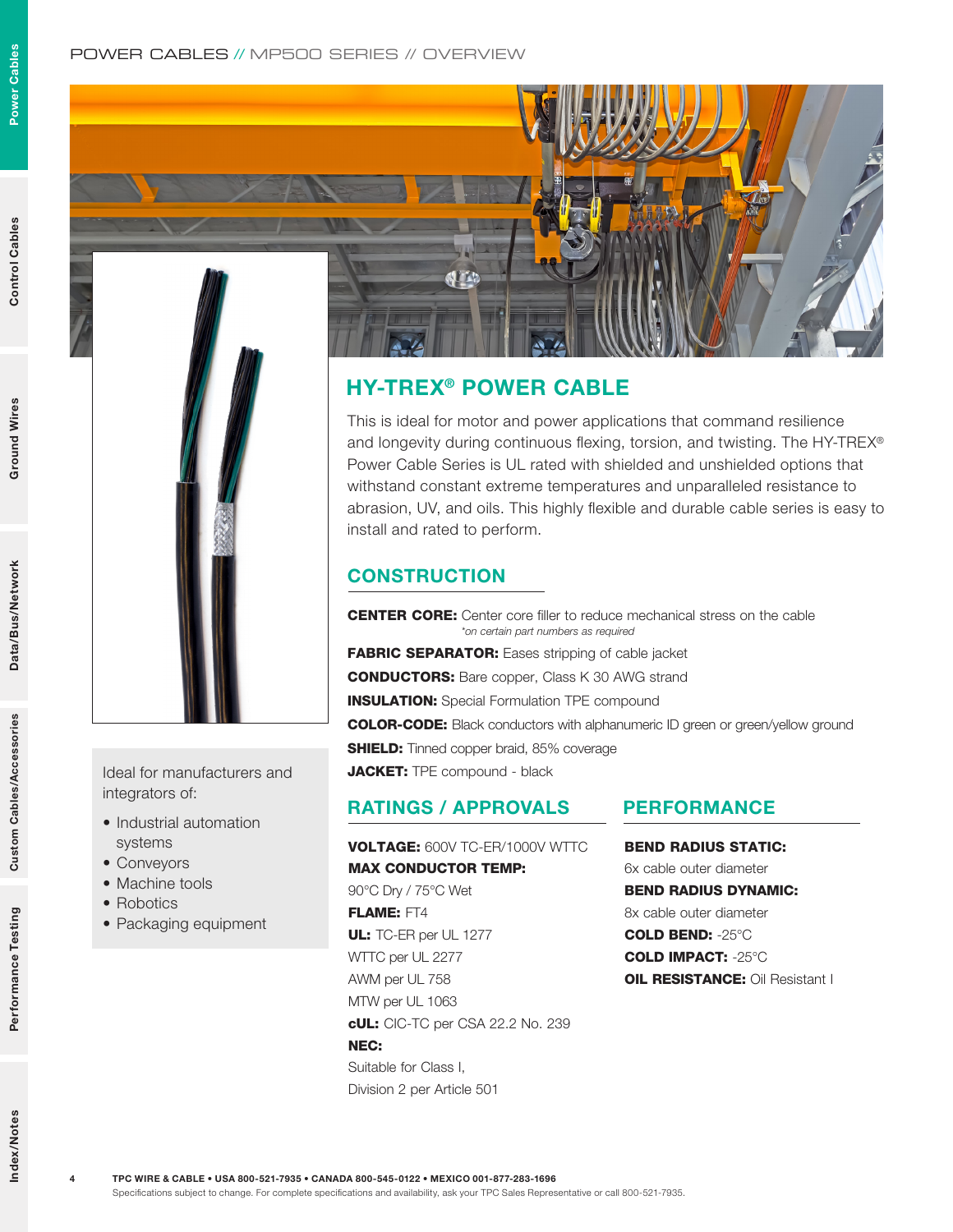Power Cables

Power Cables

4



Ideal for manufacturers and integrators of:

- Industrial automation systems
- Conveyors
- Machine tools
- Robotics
- Packaging equipment

# **ALL'AN**

# HY-TREX® POWER CABLE

This is ideal for motor and power applications that command resilience and longevity during continuous flexing, torsion, and twisting. The HY-TREX® Power Cable Series is UL rated with shielded and unshielded options that withstand constant extreme temperatures and unparalleled resistance to abrasion, UV, and oils. This highly flexible and durable cable series is easy to install and rated to perform.

# **CONSTRUCTION**

CENTER CORE: Center core filler to reduce mechanical stress on the cable *\*on certain part numbers as required* FABRIC SEPARATOR: Eases stripping of cable jacket

CONDUCTORS: Bare copper, Class K 30 AWG strand

**INSULATION:** Special Formulation TPE compound

COLOR-CODE: Black conductors with alphanumeric ID green or green/yellow ground

**SHIELD:** Tinned copper braid, 85% coverage

JACKET: TPE compound - black

# RATINGS / APPROVALS PERFORMANCE

VOLTAGE: 600V TC-ER/1000V WTTC MAX CONDUCTOR TEMP: 90°C Dry / 75°C Wet FLAME: FT4 UL: TC-ER per UL 1277 WTTC per UL 2277 AWM per UL 758 MTW per UL 1063 cUL: CIC-TC per CSA 22.2 No. 239 NEC: Suitable for Class I, Division 2 per Article 501

BEND RADIUS STATIC: 6x cable outer diameter BEND RADIUS DYNAMIC: 8x cable outer diameter COLD BEND: -25°C COLD IMPACT: -25°C **OIL RESISTANCE: Oil Resistant I**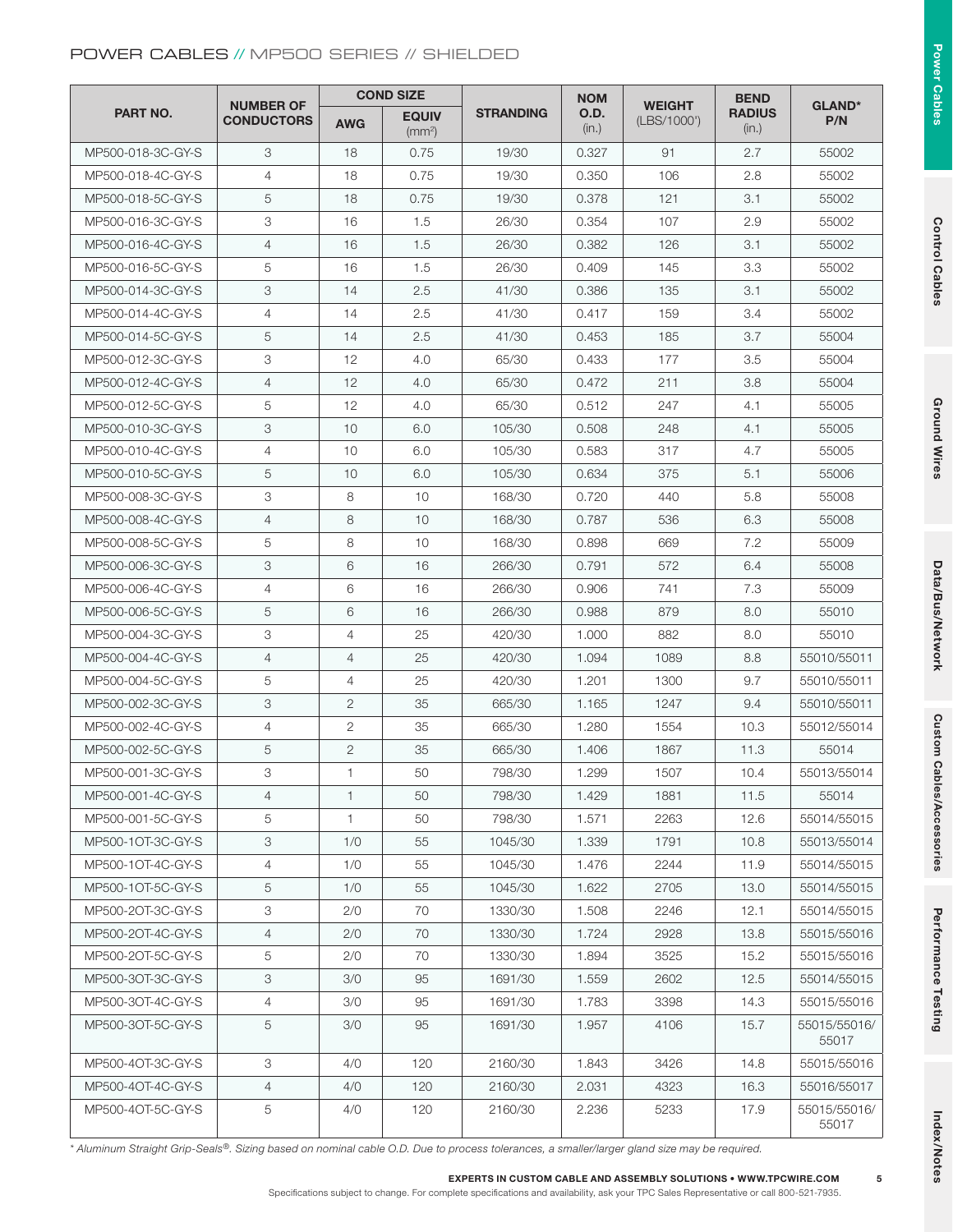## POWER CABLES // MP500 SERIES // SHIELDED

| <b>PART NO.</b>   | <b>NUMBER OF</b><br><b>CONDUCTORS</b> | <b>COND SIZE</b> |                                    |                  | <b>NOM</b>           |                              | <b>BEND</b>            |                       |
|-------------------|---------------------------------------|------------------|------------------------------------|------------------|----------------------|------------------------------|------------------------|-----------------------|
|                   |                                       | <b>AWG</b>       | <b>EQUIV</b><br>(mm <sup>2</sup> ) | <b>STRANDING</b> | <b>O.D.</b><br>(in.) | <b>WEIGHT</b><br>(LBS/1000') | <b>RADIUS</b><br>(in.) | <b>GLAND*</b><br>P/N  |
| MP500-018-3C-GY-S | 3                                     | 18               | 0.75                               | 19/30            | 0.327                | 91                           | 2.7                    | 55002                 |
| MP500-018-4C-GY-S | $\overline{4}$                        | 18               | 0.75                               | 19/30            | 0.350                | 106                          | 2.8                    | 55002                 |
| MP500-018-5C-GY-S | 5                                     | 18               | 0.75                               | 19/30            | 0.378                | 121                          | 3.1                    | 55002                 |
| MP500-016-3C-GY-S | 3                                     | 16               | 1.5                                | 26/30            | 0.354                | 107                          | 2.9                    | 55002                 |
| MP500-016-4C-GY-S | $\overline{4}$                        | 16               | 1.5                                | 26/30            | 0.382                | 126                          | 3.1                    | 55002                 |
| MP500-016-5C-GY-S | 5                                     | 16               | 1.5                                | 26/30            | 0.409                | 145                          | 3.3                    | 55002                 |
| MP500-014-3C-GY-S | 3                                     | 14               | 2.5                                | 41/30            | 0.386                | 135                          | 3.1                    | 55002                 |
| MP500-014-4C-GY-S | $\overline{4}$                        | 14               | 2.5                                | 41/30            | 0.417                | 159                          | 3.4                    | 55002                 |
| MP500-014-5C-GY-S | 5                                     | 14               | 2.5                                | 41/30            | 0.453                | 185                          | 3.7                    | 55004                 |
| MP500-012-3C-GY-S | 3                                     | 12               | 4.0                                | 65/30            | 0.433                | 177                          | 3.5                    | 55004                 |
| MP500-012-4C-GY-S | $\overline{4}$                        | 12               | 4.0                                | 65/30            | 0.472                |                              | 3.8                    | 55004                 |
| MP500-012-5C-GY-S | 5                                     | 12               | 4.0                                | 65/30            | 0.512                | 247                          | 4.1                    | 55005                 |
| MP500-010-3C-GY-S | 3                                     | 10               | 6.0                                | 105/30           | 0.508                | 248                          | 4.1                    | 55005                 |
| MP500-010-4C-GY-S | $\overline{4}$                        | 10               | 6.0                                | 105/30           | 0.583                | 317                          | 4.7                    | 55005                 |
| MP500-010-5C-GY-S | 5                                     | 10               | 6.0                                | 105/30           | 0.634                | 375                          | 5.1                    | 55006                 |
| MP500-008-3C-GY-S | 3                                     | 8                | 10                                 | 168/30           | 0.720                | 440                          | 5.8                    | 55008                 |
| MP500-008-4C-GY-S | $\overline{4}$                        | 8                | 10                                 | 168/30           | 0.787                | 536                          | 6.3                    | 55008                 |
| MP500-008-5C-GY-S | 5                                     | 8                | 10                                 | 168/30           | 0.898                | 669                          | 7.2                    | 55009                 |
| MP500-006-3C-GY-S | 3                                     | 6                | 16                                 | 266/30           | 0.791                | 572                          | 6.4                    | 55008                 |
| MP500-006-4C-GY-S | $\overline{4}$                        | 6                | 16                                 | 266/30           | 0.906                | 741                          | 7.3                    | 55009                 |
| MP500-006-5C-GY-S | 5                                     | 6                | 16                                 | 266/30           | 0.988                | 879                          | 8.0                    | 55010                 |
| MP500-004-3C-GY-S | 3                                     | $\overline{4}$   | 25                                 | 420/30           | 1.000                | 882                          | 8.0                    | 55010                 |
| MP500-004-4C-GY-S | $\overline{4}$                        | $\overline{4}$   | 25                                 | 420/30           | 1.094                | 1089                         | 8.8                    | 55010/55011           |
| MP500-004-5C-GY-S | 5                                     | $\overline{4}$   | 25                                 | 420/30           | 1.201                | 1300                         | 9.7                    | 55010/55011           |
| MP500-002-3C-GY-S | 3                                     | 2                | 35                                 | 665/30           | 1.165                | 1247                         | 9.4                    | 55010/55011           |
| MP500-002-4C-GY-S | 4                                     | 2                | 35                                 | 665/30           | 1.280                | 1554                         | 10.3                   | 55012/55014           |
| MP500-002-5C-GY-S | 5                                     | $\overline{2}$   | 35                                 | 665/30           | 1.406                | 1867                         | 11.3                   | 55014                 |
| MP500-001-3C-GY-S | 3                                     | 1                | 50                                 | 798/30           | 1.299                | 1507<br>10.4                 |                        | 55013/55014           |
| MP500-001-4C-GY-S | 4                                     | $\mathbf{1}$     | 50                                 | 798/30           | 1.429                | 1881                         |                        | 55014                 |
| MP500-001-5C-GY-S | 5                                     | 1                | 50                                 | 798/30           | 1.571                | 2263                         | 11.5<br>12.6           | 55014/55015           |
| MP500-10T-3C-GY-S | 3                                     | 1/0              | 55                                 | 1045/30          | 1.339                | 1791                         | 10.8                   | 55013/55014           |
| MP500-10T-4C-GY-S | 4                                     | 1/0              | 55                                 | 1045/30          | 1.476                | 2244                         | 11.9                   | 55014/55015           |
| MP500-10T-5C-GY-S | 5                                     | 1/0              | 55                                 | 1045/30          | 1.622                | 2705                         | 13.0                   | 55014/55015           |
| MP500-2OT-3C-GY-S | 3                                     | 2/0              | 70                                 | 1330/30          | 1.508                | 2246                         | 12.1                   | 55014/55015           |
| MP500-20T-4C-GY-S | $\overline{4}$                        | 2/0              | 70                                 | 1330/30          | 1.724                | 2928                         | 13.8                   | 55015/55016           |
| MP500-2OT-5C-GY-S | 5                                     | 2/0              | 70                                 | 1330/30          | 1.894                | 3525                         | 15.2                   | 55015/55016           |
| MP500-3OT-3C-GY-S | 3                                     | 3/0              | 95                                 | 1691/30          | 1.559                | 2602                         | 12.5                   | 55014/55015           |
| MP500-30T-4C-GY-S | $\overline{4}$                        | 3/0              | 95                                 | 1691/30          | 1.783                | 3398                         | 14.3                   | 55015/55016           |
| MP500-3OT-5C-GY-S | 5                                     | 3/0              | 95                                 | 1691/30          | 1.957                | 4106                         | 15.7                   | 55015/55016/<br>55017 |
| MP500-4OT-3C-GY-S | 3                                     | 4/0              | 120                                | 2160/30          | 1.843                | 3426                         | 14.8                   | 55015/55016           |
| MP500-4OT-4C-GY-S | $\overline{4}$                        | 4/0              | 120                                | 2160/30          | 2.031                | 4323                         | 16.3                   | 55016/55017           |
| MP500-4OT-5C-GY-S | 5                                     | 4/0              | 120                                | 2160/30          | 2.236                | 5233                         | 17.9                   | 55015/55016/<br>55017 |

*\* Aluminum Straight Grip-Seals®. Sizing based on nominal cable O.D. Due to process tolerances, a smaller/larger gland size may be required.*

# **Power Cables** Power Cables

5

Specifications subject to change. For complete specifications and availability, ask your TPC Sales Representative or call 800-521-7935.